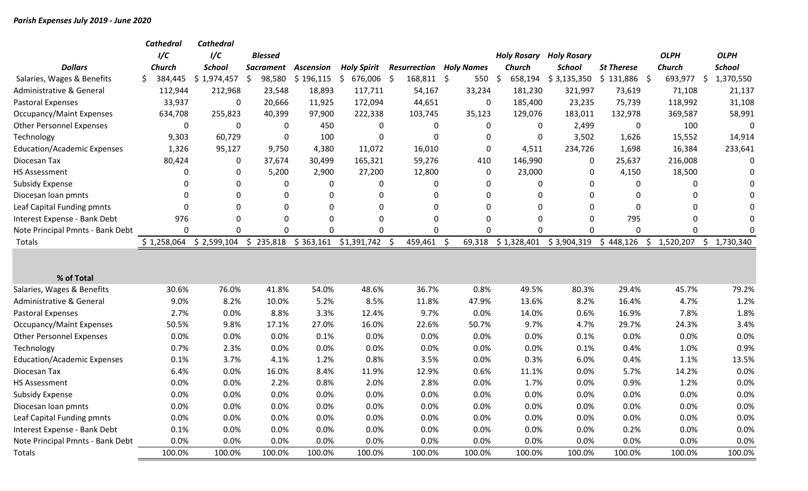|                                     |    | <b>Cathedral</b> | <b>Cathedral</b> |   |                  |                  |                    |    |                                |     |              |                    |                    |                   |              |               |                 |
|-------------------------------------|----|------------------|------------------|---|------------------|------------------|--------------------|----|--------------------------------|-----|--------------|--------------------|--------------------|-------------------|--------------|---------------|-----------------|
|                                     |    | 1/C              | 1/C              |   | <b>Blessed</b>   |                  |                    |    |                                |     |              | <b>Holy Rosary</b> | <b>Holy Rosary</b> |                   |              | <b>OLPH</b>   | <b>OLPH</b>     |
| <b>Dollars</b>                      |    | <b>Church</b>    | <b>School</b>    |   | <b>Sacrament</b> | <b>Ascension</b> | <b>Holy Spirit</b> |    | <b>Resurrection Holy Names</b> |     |              | <b>Church</b>      | School             | <b>St Therese</b> |              | <b>Church</b> | <b>School</b>   |
| Salaries, Wages & Benefits          | Ś. | 384,445          | \$1,974,457      | Ś | 98,580           | \$196,115        | \$<br>676,006      | \$ | 168,811 \$                     |     | 550          | 658,194            | \$3,135,350        | \$131,886         | -\$          | 693,977       | \$<br>1,370,550 |
| <b>Administrative &amp; General</b> |    | 112,944          | 212,968          |   | 23,548           | 18,893           | 117,711            |    | 54,167                         |     | 33,234       | 181,230            | 321,997            | 73,619            |              | 71,108        | 21,137          |
| <b>Pastoral Expenses</b>            |    | 33,937           | $\mathbf{0}$     |   | 20,666           | 11,925           | 172,094            |    | 44,651                         |     | $\mathbf{0}$ | 185,400            | 23,235             | 75,739            |              | 118,992       | 31,108          |
| <b>Occupancy/Maint Expenses</b>     |    | 634,708          | 255,823          |   | 40,399           | 97,900           | 222,338            |    | 103,745                        |     | 35,123       | 129,076            | 183,011            | 132,978           |              | 369,587       | 58,991          |
| <b>Other Personnel Expenses</b>     |    | 0                | $\mathbf{0}$     |   | 0                | 450              | 0                  |    | $\Omega$                       |     | 0            | 0                  | 2,499              |                   | 0            | 100           | $\Omega$        |
| Technology                          |    | 9,303            | 60,729           |   | 0                | 100              | $\Omega$           |    | 0                              |     | $\Omega$     | $\mathbf 0$        | 3,502              | 1,626             |              | 15,552        | 14,914          |
| <b>Education/Academic Expenses</b>  |    | 1,326            | 95,127           |   | 9,750            | 4,380            | 11,072             |    | 16,010                         |     | 0            | 4,511              | 234,726            | 1,698             |              | 16,384        | 233,641         |
| Diocesan Tax                        |    | 80,424           | $\mathbf 0$      |   | 37,674           | 30,499           | 165,321            |    | 59,276                         |     | 410          | 146,990            | 0                  | 25,637            |              | 216,008       | 0               |
| <b>HS Assessment</b>                |    | 0                | $\mathbf 0$      |   | 5,200            | 2,900            | 27,200             |    | 12,800                         |     | $\mathbf 0$  | 23,000             | 0                  | 4,150             |              | 18,500        | $\Omega$        |
| <b>Subsidy Expense</b>              |    | 0                | 0                |   | 0                | $\mathbf 0$      | $\mathbf 0$        |    | 0                              |     | $\Omega$     | 0                  | $\mathbf{0}$       |                   | $\Omega$     | 0             |                 |
| Diocesan loan pmnts                 |    | O                | $\mathbf 0$      |   | 0                | $\Omega$         | 0                  |    | 0                              |     | $\Omega$     | $\Omega$           | 0                  |                   | 0            | $\Omega$      |                 |
| Leaf Capital Funding pmnts          |    | 0                | $\mathbf 0$      |   | 0                | 0                | 0                  |    | $\Omega$                       |     | $\Omega$     | $\Omega$           | $\mathbf{0}$       |                   | $\mathbf{0}$ | 0             |                 |
| Interest Expense - Bank Debt        |    | 976              | $\Omega$         |   | $\Omega$         | 0                | 0                  |    | $\Omega$                       |     | O            | $\Omega$           | $\Omega$           |                   | 795          | $\Omega$      |                 |
| Note Principal Pmnts - Bank Debt    |    | 0                | 0                |   | $\Omega$         | $\mathbf{0}$     | 0                  |    | $\Omega$                       |     | O            | $\Omega$           | 0                  |                   | $\Omega$     | $\Omega$      | ∩               |
| Totals                              |    | \$1,258,064      | \$2,599,104      |   | \$235,818        | \$363,161        | \$1,391,742        | Ŝ. | 459,461                        | -\$ | 69,318       | \$1,328,401        | \$3,904,319        | \$448,126         | \$           | 1,520,207     | \$<br>1,730,340 |
|                                     |    |                  |                  |   |                  |                  |                    |    |                                |     |              |                    |                    |                   |              |               |                 |
|                                     |    |                  |                  |   |                  |                  |                    |    |                                |     |              |                    |                    |                   |              |               |                 |
| % of Total                          |    |                  |                  |   |                  |                  |                    |    |                                |     |              |                    |                    |                   |              |               |                 |
| Salaries, Wages & Benefits          |    | 30.6%            | 76.0%            |   | 41.8%            | 54.0%            | 48.6%              |    | 36.7%                          |     | 0.8%         | 49.5%              | 80.3%              | 29.4%             |              | 45.7%         | 79.2%           |
| Administrative & General            |    | 9.0%             | 8.2%             |   | 10.0%            | 5.2%             | 8.5%               |    | 11.8%                          |     | 47.9%        | 13.6%              | 8.2%               | 16.4%             |              | 4.7%          | 1.2%            |
| <b>Pastoral Expenses</b>            |    | 2.7%             | 0.0%             |   | 8.8%             | 3.3%             | 12.4%              |    | 9.7%                           |     | 0.0%         | 14.0%              | 0.6%               | 16.9%             |              | 7.8%          | 1.8%            |
| <b>Occupancy/Maint Expenses</b>     |    | 50.5%            | 9.8%             |   | 17.1%            | 27.0%            | 16.0%              |    | 22.6%                          |     | 50.7%        | 9.7%               | 4.7%               | 29.7%             |              | 24.3%         | 3.4%            |
| <b>Other Personnel Expenses</b>     |    | 0.0%             | 0.0%             |   | 0.0%             | 0.1%             | 0.0%               |    | 0.0%                           |     | 0.0%         | 0.0%               | 0.1%               | 0.0%              |              | 0.0%          | 0.0%            |
| Technology                          |    | 0.7%             | 2.3%             |   | 0.0%             | 0.0%             | 0.0%               |    | 0.0%                           |     | 0.0%         | 0.0%               | 0.1%               | 0.4%              |              | 1.0%          | 0.9%            |
| <b>Education/Academic Expenses</b>  |    | 0.1%             | 3.7%             |   | 4.1%             | 1.2%             | 0.8%               |    | 3.5%                           |     | 0.0%         | 0.3%               | 6.0%               | 0.4%              |              | 1.1%          | 13.5%           |
| Diocesan Tax                        |    | 6.4%             | 0.0%             |   | 16.0%            | 8.4%             | 11.9%              |    | 12.9%                          |     | 0.6%         | 11.1%              | 0.0%               | 5.7%              |              | 14.2%         | 0.0%            |
| <b>HS Assessment</b>                |    | 0.0%             | 0.0%             |   | 2.2%             | 0.8%             | 2.0%               |    | 2.8%                           |     | 0.0%         | 1.7%               | 0.0%               | 0.9%              |              | 1.2%          | 0.0%            |
| <b>Subsidy Expense</b>              |    | 0.0%             | 0.0%             |   | 0.0%             | 0.0%             | 0.0%               |    | 0.0%                           |     | 0.0%         | 0.0%               | 0.0%               | 0.0%              |              | 0.0%          | 0.0%            |
| Diocesan loan pmnts                 |    | 0.0%             | 0.0%             |   | 0.0%             | 0.0%             | 0.0%               |    | 0.0%                           |     | 0.0%         | 0.0%               | 0.0%               | 0.0%              |              | 0.0%          | 0.0%            |
| Leaf Capital Funding pmnts          |    | 0.0%             | 0.0%             |   | 0.0%             | 0.0%             | 0.0%               |    | 0.0%                           |     | 0.0%         | 0.0%               | 0.0%               | 0.0%              |              | 0.0%          | 0.0%            |
| Interest Expense - Bank Debt        |    | 0.1%             | 0.0%             |   | 0.0%             | 0.0%             | 0.0%               |    | 0.0%                           |     | 0.0%         | 0.0%               | 0.0%               | 0.2%              |              | 0.0%          | 0.0%            |
| Note Principal Pmnts - Bank Debt    |    | 0.0%             | 0.0%             |   | 0.0%             | 0.0%             | 0.0%               |    | 0.0%                           |     | 0.0%         | 0.0%               | 0.0%               | 0.0%              |              | 0.0%          | 0.0%            |
| Totals                              |    | 100.0%           | 100.0%           |   | 100.0%           | 100.0%           | 100.0%             |    | 100.0%                         |     | 100.0%       | 100.0%             | 100.0%             | 100.0%            |              | 100.0%        | 100.0%          |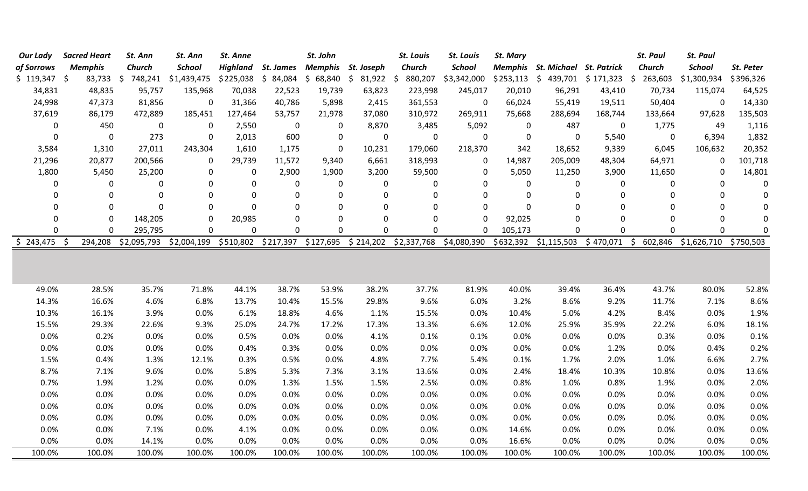| Our Lady      | <b>Sacred Heart</b> | St. Ann       | St. Ann       | St. Anne  |                     | St. John           |                                | St. Louis     | <b>St. Louis</b>                            | St. Mary    |                                     |             | <b>St. Paul</b> | <b>St. Paul</b>       |             |
|---------------|---------------------|---------------|---------------|-----------|---------------------|--------------------|--------------------------------|---------------|---------------------------------------------|-------------|-------------------------------------|-------------|-----------------|-----------------------|-------------|
| of Sorrows    | <b>Memphis</b>      | <b>Church</b> | <b>School</b> | Highland  | St. James           | Memphis St. Joseph |                                | <b>Church</b> | <b>School</b>                               |             | Memphis St. Michael St. Patrick     |             | Church          | <b>School</b>         | St. Peter   |
| $$119,347$ \$ | $83,733$ \$         | 748,241       | \$1,439,475   | \$225,038 |                     |                    | $$84,084$ \$68,840 \$81,922 \$ | 880,207       | \$3,342,000                                 |             | $$253,113$ $$439,701$ $$171,323$ \$ |             | 263,603         | \$1,300,934           | \$396,326   |
| 34,831        | 48,835              | 95,757        | 135,968       | 70,038    | 22,523              | 19,739             | 63,823                         | 223,998       | 245,017                                     | 20,010      | 96,291                              | 43,410      | 70,734          | 115,074               | 64,525      |
| 24,998        | 47,373              | 81,856        | $\mathbf 0$   | 31,366    | 40,786              | 5,898              | 2,415                          | 361,553       | $\mathbf 0$                                 | 66,024      | 55,419                              | 19,511      | 50,404          | $\mathbf 0$           | 14,330      |
| 37,619        | 86,179              | 472,889       | 185,451       | 127,464   | 53,757              | 21,978             | 37,080                         | 310,972       | 269,911                                     | 75,668      | 288,694                             | 168,744     | 133,664         | 97,628                | 135,503     |
| $\mathbf 0$   | 450                 | 0             | 0             | 2,550     | $\pmb{0}$           | 0                  | 8,870                          | 3,485         | 5,092                                       | 0           | 487                                 | 0           | 1,775           | 49                    | 1,116       |
| $\mathbf 0$   | $\pmb{0}$           | 273           | $\mathbf 0$   | 2,013     | 600                 | $\pmb{0}$          | 0                              | $\pmb{0}$     | $\mathbf 0$                                 | $\pmb{0}$   | $\mathbf 0$                         | 5,540       | $\pmb{0}$       | 6,394                 | 1,832       |
| 3,584         | 1,310               | 27,011        | 243,304       | 1,610     | 1,175               | $\mathbf 0$        | 10,231                         | 179,060       | 218,370                                     | 342         | 18,652                              | 9,339       | 6,045           | 106,632               | 20,352      |
| 21,296        | 20,877              | 200,566       | 0             | 29,739    | 11,572              | 9,340              | 6,661                          | 318,993       | 0                                           | 14,987      | 205,009                             | 48,304      | 64,971          | 0                     | 101,718     |
| 1,800         | 5,450               | 25,200        | 0             | 0         | 2,900               | 1,900              | 3,200                          | 59,500        | 0                                           | 5,050       | 11,250                              | 3,900       | 11,650          | 0                     | 14,801      |
| 0             | 0                   | 0             | $\mathbf{0}$  | 0         | $\boldsymbol{0}$    | 0                  | 0                              | 0             | 0                                           | 0           | 0                                   | 0           | 0               | $\mathbf{0}$          | 0           |
| 0             | $\Omega$            | 0             | $\Omega$      | 0         | $\mathbf 0$         | $\mathbf 0$        | $\mathbf 0$                    | 0             | $\mathbf 0$                                 | $\mathbf 0$ | $\mathbf 0$                         | 0           | $\mathbf 0$     | $\mathbf 0$           | $\pmb{0}$   |
| 0             | 0                   | 0             | $\Omega$      | $\Omega$  | $\mathbf 0$         | 0                  | $\Omega$                       | $\mathbf{0}$  | $\mathbf 0$                                 | 0           | 0                                   | 0           | 0               | 0                     | $\pmb{0}$   |
| $\Omega$      | $\mathbf{0}$        | 148,205       | 0             | 20,985    | $\mathbf 0$         | $\mathbf 0$        | $\mathbf{0}$                   | 0             | $\Omega$                                    | 92,025      | 0                                   | 0           | 0               | $\pmb{0}$             | 0           |
| $\Omega$      | 0                   | 295,795       | $\mathbf 0$   | 0         | $\mathbf 0$         | $\mathbf 0$        | $\Omega$                       | 0             | $\mathbf 0$                                 | 105,173     | 0                                   | $\mathbf 0$ | $\mathbf 0$     | $\mathbf 0$           | $\mathbf 0$ |
| $$243,475$ \$ | 294,208             | \$2,095,793   | \$2,004,199   |           | \$510,802 \$217,397 |                    |                                |               | \$127,695 \$214,202 \$2,337,768 \$4,080,390 |             | \$632,392 \$1,115,503 \$470,071 \$  |             | 602,846         | \$1,626,710 \$750,503 |             |
|               |                     |               |               |           |                     |                    |                                |               |                                             |             |                                     |             |                 |                       |             |
| 49.0%         | 28.5%               | 35.7%         | 71.8%         | 44.1%     | 38.7%               | 53.9%              | 38.2%                          | 37.7%         | 81.9%                                       | 40.0%       | 39.4%                               | 36.4%       | 43.7%           | 80.0%                 | 52.8%       |
| 14.3%         | 16.6%               | 4.6%          | 6.8%          | 13.7%     | 10.4%               | 15.5%              | 29.8%                          | 9.6%          | 6.0%                                        | 3.2%        | 8.6%                                | 9.2%        | 11.7%           | 7.1%                  | 8.6%        |
| 10.3%         | 16.1%               | 3.9%          | 0.0%          | 6.1%      | 18.8%               | 4.6%               | 1.1%                           | 15.5%         | 0.0%                                        | 10.4%       | 5.0%                                | 4.2%        | 8.4%            | 0.0%                  | 1.9%        |
| 15.5%         | 29.3%               | 22.6%         | 9.3%          | 25.0%     | 24.7%               | 17.2%              | 17.3%                          | 13.3%         | 6.6%                                        | 12.0%       | 25.9%                               | 35.9%       | 22.2%           | 6.0%                  | 18.1%       |
| 0.0%          | 0.2%                | 0.0%          | 0.0%          | 0.5%      | 0.0%                | 0.0%               | 4.1%                           | 0.1%          | 0.1%                                        | 0.0%        | 0.0%                                | 0.0%        | 0.3%            | 0.0%                  | 0.1%        |
| 0.0%          | 0.0%                | 0.0%          | 0.0%          | 0.4%      | 0.3%                | 0.0%               | 0.0%                           | 0.0%          | 0.0%                                        | 0.0%        | 0.0%                                | 1.2%        | 0.0%            | 0.4%                  | 0.2%        |
| 1.5%          | 0.4%                | 1.3%          | 12.1%         | 0.3%      | 0.5%                | 0.0%               | 4.8%                           | 7.7%          | 5.4%                                        | 0.1%        | 1.7%                                | 2.0%        | 1.0%            | 6.6%                  | 2.7%        |
| 8.7%          | 7.1%                | 9.6%          | 0.0%          | 5.8%      | 5.3%                | 7.3%               | 3.1%                           | 13.6%         | 0.0%                                        | 2.4%        | 18.4%                               | 10.3%       | 10.8%           | 0.0%                  | 13.6%       |
| 0.7%          | 1.9%                | 1.2%          | 0.0%          | 0.0%      | 1.3%                | 1.5%               | 1.5%                           | 2.5%          | 0.0%                                        | 0.8%        | 1.0%                                | 0.8%        | 1.9%            | 0.0%                  | 2.0%        |
| 0.0%          | 0.0%                | 0.0%          | 0.0%          | 0.0%      | 0.0%                | 0.0%               | 0.0%                           | 0.0%          | 0.0%                                        | 0.0%        | 0.0%                                | 0.0%        | 0.0%            | 0.0%                  | 0.0%        |
| 0.0%          | 0.0%                | 0.0%          | 0.0%          | 0.0%      | 0.0%                | 0.0%               | 0.0%                           | 0.0%          | 0.0%                                        | 0.0%        | 0.0%                                | 0.0%        | 0.0%            | 0.0%                  | 0.0%        |
| 0.0%          | 0.0%                | 0.0%          | 0.0%          | 0.0%      | 0.0%                | 0.0%               | 0.0%                           | 0.0%          | 0.0%                                        | 0.0%        | 0.0%                                | 0.0%        | 0.0%            | 0.0%                  | 0.0%        |
| 0.0%          | 0.0%                | 7.1%          | 0.0%          | 4.1%      | 0.0%                | 0.0%               | 0.0%                           | 0.0%          | 0.0%                                        | 14.6%       | 0.0%                                | 0.0%        | 0.0%            | 0.0%                  | 0.0%        |
| 0.0%          | 0.0%                | 14.1%         | 0.0%          | 0.0%      | 0.0%                | 0.0%               | 0.0%                           | 0.0%          | 0.0%                                        | 16.6%       | 0.0%                                | 0.0%        | 0.0%            | 0.0%                  | 0.0%        |
| 100.0%        | 100.0%              | 100.0%        | 100.0%        | 100.0%    | 100.0%              | 100.0%             | 100.0%                         | 100.0%        | 100.0%                                      | 100.0%      | 100.0%                              | 100.0%      | 100.0%          | 100.0%                | 100.0%      |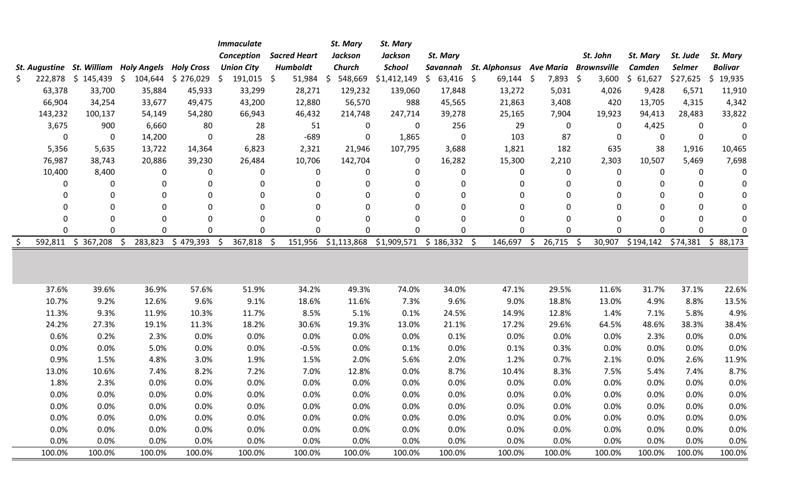|                  |               |                                                  |                | <b>Immaculate</b>                 |                     | St. Mary       | St. Mary      |                   |                                |               |                    |               |          |                |
|------------------|---------------|--------------------------------------------------|----------------|-----------------------------------|---------------------|----------------|---------------|-------------------|--------------------------------|---------------|--------------------|---------------|----------|----------------|
|                  |               |                                                  |                | Conception                        | <b>Sacred Heart</b> | <b>Jackson</b> | Jackson       | St. Mary          |                                |               | St. John           | St. Mary      | St. Jude | St. Mary       |
|                  |               | St. Augustine St. William Holy Angels Holy Cross |                | <b>Union City</b>                 | Humboldt            | Church         | <b>School</b> | Savannah          | <b>St. Alphonsus Ave Maria</b> |               | <b>Brownsville</b> | <b>Camden</b> | Selmer   | <b>Bolivar</b> |
| \$<br>222,878 \$ | 145,439       | \$<br>104,644                                    | \$276,029      | $\ddot{\mathsf{S}}$<br>191,015 \$ | $51,984$ \$         | 548,669        | \$1,412,149   | \$<br>$63,416$ \$ | $69,144$ \$                    | $7,893$ \$    | 3,600              | \$61,627      | \$27,625 | \$<br>19,935   |
| 63,378           | 33,700        | 35,884                                           | 45,933         | 33,299                            | 28,271              | 129,232        | 139,060       | 17,848            | 13,272                         | 5,031         | 4,026              | 9,428         | 6,571    | 11,910         |
| 66,904           | 34,254        | 33,677                                           | 49,475         | 43,200                            | 12,880              | 56,570         | 988           | 45,565            | 21,863                         | 3,408         | 420                | 13,705        | 4,315    | 4,342          |
| 143,232          | 100,137       | 54,149                                           | 54,280         | 66,943                            | 46,432              | 214,748        | 247,714       | 39,278            | 25,165                         | 7,904         | 19,923             | 94,413        | 28,483   | 33,822         |
| 3,675            | 900           | 6,660                                            | 80             | 28                                | 51                  | 0              | 0             | 256               | 29                             | 0             | $\Omega$           | 4,425         | 0        |                |
| 0                | 0             | 14,200                                           | 0              | 28                                | $-689$              | 0              | 1,865         | 0                 | 103                            | 87            | $\mathbf{0}$       | 0             | 0        | 0              |
| 5,356            | 5,635         | 13,722                                           | 14,364         | 6,823                             | 2,321               | 21,946         | 107,795       | 3,688             | 1,821                          | 182           | 635                | 38            | 1,916    | 10,465         |
| 76,987           | 38,743        | 20,886                                           | 39,230         | 26,484                            | 10,706              | 142,704        | 0             | 16,282            | 15,300                         | 2,210         | 2,303              | 10,507        | 5,469    | 7,698          |
| 10,400           | 8,400         | 0                                                | $\mathbf 0$    | 0                                 | 0                   | 0              | 0             | 0                 | 0                              | 0             | 0                  | 0             | 0        | 0              |
| 0                | 0             | $\mathbf 0$                                      | 0              | 0                                 | 0                   | 0              | $\mathbf 0$   | 0                 | 0                              | 0             | $\mathbf{0}$       | 0             | 0        | 0              |
| 0                | 0             | 0                                                | $\mathbf 0$    | 0                                 | $\Omega$            | $\Omega$       | $\mathbf 0$   | $\Omega$          | 0                              | 0             | $\Omega$           | 0             | 0        | 0              |
| 0                | 0             | 0                                                | 0              | 0                                 | $\Omega$            | $\Omega$       | 0             | $\Omega$          | 0                              | 0             | $\Omega$           | 0             | 0        | ∩              |
| $\Omega$         | $\mathbf 0$   | $\Omega$                                         | $\mathbf 0$    | 0                                 | $\Omega$            | $\Omega$       | $\mathbf 0$   | $\Omega$          | 0                              | 0             | $\Omega$           | 0             | 0        |                |
| $\Omega$         | $\mathbf 0$   | $\Omega$                                         | $\overline{0}$ | $\overline{0}$                    | $\Omega$            | $\Omega$       | $\mathbf{0}$  | 0                 | 0                              | 0             | $\Omega$           | 0             | 0        |                |
| 592,811          | \$<br>367,208 | 283,823<br>\$                                    | \$479,393      | 367,818<br>\$                     | 151,956<br>-\$      | \$1,113,868    | \$1,909,571   | $$186,332$ \$     | 146,697                        | 26,715<br>-\$ | - \$<br>30,907     | \$194,142     | \$74,381 | \$88,173       |
|                  |               |                                                  |                |                                   |                     |                |               |                   |                                |               |                    |               |          |                |
| 37.6%            | 39.6%         | 36.9%                                            | 57.6%          | 51.9%                             | 34.2%               | 49.3%          | 74.0%         | 34.0%             | 47.1%                          | 29.5%         | 11.6%              | 31.7%         | 37.1%    | 22.6%          |
| 10.7%            | 9.2%          | 12.6%                                            | 9.6%           | 9.1%                              | 18.6%               | 11.6%          | 7.3%          | 9.6%              | 9.0%                           | 18.8%         | 13.0%              | 4.9%          | 8.8%     | 13.5%          |
| 11.3%            | 9.3%          | 11.9%                                            | 10.3%          | 11.7%                             | 8.5%                | 5.1%           | 0.1%          | 24.5%             | 14.9%                          | 12.8%         | 1.4%               | 7.1%          | 5.8%     | 4.9%           |
| 24.2%            | 27.3%         | 19.1%                                            | 11.3%          | 18.2%                             | 30.6%               | 19.3%          | 13.0%         | 21.1%             | 17.2%                          | 29.6%         | 64.5%              | 48.6%         | 38.3%    | 38.4%          |
| 0.6%             | 0.2%          | 2.3%                                             | 0.0%           | 0.0%                              | 0.0%                | 0.0%           | 0.0%          | 0.1%              | 0.0%                           | 0.0%          | 0.0%               | 2.3%          | 0.0%     | 0.0%           |
| 0.0%             | 0.0%          | 5.0%                                             | 0.0%           | 0.0%                              | $-0.5%$             | 0.0%           | 0.1%          | 0.0%              | 0.1%                           | 0.3%          | 0.0%               | 0.0%          | 0.0%     | 0.0%           |
| 0.9%             | 1.5%          | 4.8%                                             | 3.0%           | 1.9%                              | 1.5%                | 2.0%           | 5.6%          | 2.0%              | 1.2%                           | 0.7%          | 2.1%               | 0.0%          | 2.6%     | 11.9%          |
| 13.0%            | 10.6%         | 7.4%                                             | 8.2%           | 7.2%                              | 7.0%                | 12.8%          | 0.0%          | 8.7%              | 10.4%                          | 8.3%          | 7.5%               | 5.4%          | 7.4%     | 8.7%           |
| 1.8%             | 2.3%          | 0.0%                                             | 0.0%           | 0.0%                              | 0.0%                | 0.0%           | 0.0%          | 0.0%              | 0.0%                           | 0.0%          | 0.0%               | 0.0%          | 0.0%     | 0.0%           |
| 0.0%             | 0.0%          | 0.0%                                             | 0.0%           | 0.0%                              | 0.0%                | 0.0%           | 0.0%          | 0.0%              | 0.0%                           | 0.0%          | 0.0%               | 0.0%          | 0.0%     | 0.0%           |
| 0.0%             | 0.0%          | 0.0%                                             | 0.0%           | 0.0%                              | 0.0%                | 0.0%           | 0.0%          | 0.0%              | 0.0%                           | 0.0%          | 0.0%               | 0.0%          | 0.0%     | 0.0%           |
| 0.0%             | 0.0%          | 0.0%                                             | 0.0%           | 0.0%                              | 0.0%                | 0.0%           | 0.0%          | 0.0%              | 0.0%                           | 0.0%          | 0.0%               | 0.0%          | 0.0%     | 0.0%           |
| 0.0%             | 0.0%          | 0.0%                                             | 0.0%           | 0.0%                              | 0.0%                | 0.0%           | 0.0%          | 0.0%              | 0.0%                           | 0.0%          | 0.0%               | 0.0%          | 0.0%     | 0.0%           |
| 0.0%             | 0.0%          | 0.0%                                             | 0.0%           | 0.0%                              | 0.0%                | 0.0%           | 0.0%          | 0.0%              | 0.0%                           | 0.0%          | 0.0%               | 0.0%          | 0.0%     | 0.0%           |
| 100.0%           | 100.0%        | 100.0%                                           | 100.0%         | 100.0%                            | 100.0%              | 100.0%         | 100.0%        | 100.0%            | 100.0%                         | 100.0%        | 100.0%             | 100.0%        | 100.0%   | 100.0%         |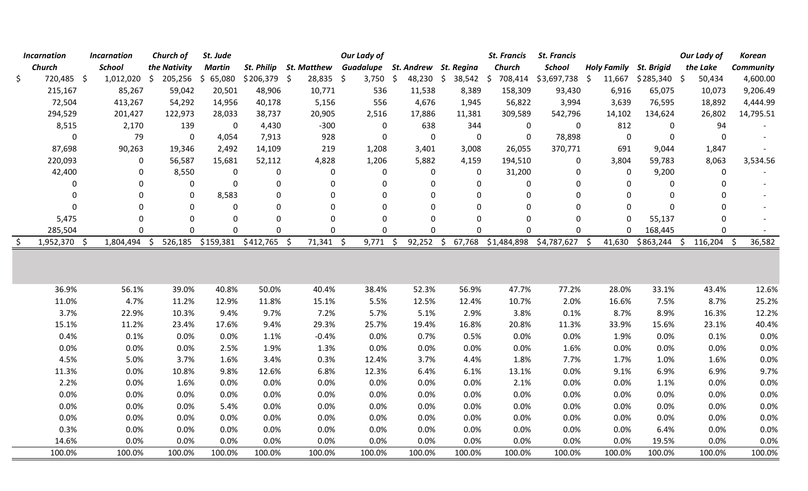| <b>Incarnation</b> | <b>Incarnation</b> |      | Church of    | St. Jude      |                                |             |             | <b>Our Lady of</b>              |                     |             | <b>St. Francis</b> | <b>St. Francis</b>                |          |                               | <b>Our Lady of</b> | <b>Korean</b>    |        |
|--------------------|--------------------|------|--------------|---------------|--------------------------------|-------------|-------------|---------------------------------|---------------------|-------------|--------------------|-----------------------------------|----------|-------------------------------|--------------------|------------------|--------|
| Church             | <b>School</b>      |      | the Nativity | <b>Martin</b> | <b>St. Philip</b>              | St. Matthew |             | Guadalupe St. Andrew St. Regina |                     |             | Church             | School                            |          | <b>Holy Family St. Brigid</b> | the Lake           | <b>Community</b> |        |
| \$<br>720,485 \$   | $1,012,020$ \$     |      | $205,256$ \$ | 65,080        | $$206,379$ \$                  | 28,835 \$   |             | $3,750$ \$                      | 48,230 \$ 38,542 \$ |             |                    | 708,414 \$3,697,738 \$            | 11,667   | $$285,340$ \$                 | 50,434             | 4,600.00         |        |
| 215,167            | 85,267             |      | 59,042       | 20,501        | 48,906                         | 10,771      |             | 536                             | 11,538              | 8,389       | 158,309            | 93,430                            | 6,916    | 65,075                        | 10,073             | 9,206.49         |        |
| 72,504             | 413,267            |      | 54,292       | 14,956        | 40,178                         |             | 5,156       | 556                             | 4,676               | 1,945       | 56,822             | 3,994                             | 3,639    | 76,595                        | 18,892             | 4,444.99         |        |
| 294,529            | 201,427            |      | 122,973      | 28,033        | 38,737                         | 20,905      |             | 2,516                           | 17,886              | 11,381      | 309,589            | 542,796                           | 14,102   | 134,624                       | 26,802             | 14,795.51        |        |
| 8,515              | 2,170              |      | 139          | $\mathbf 0$   | 4,430                          |             | $-300$      | $\mathbf 0$                     | 638                 | 344         | $\mathbf 0$        | 0                                 | 812      | 0                             | 94                 |                  |        |
| $\mathbf 0$        | 79                 |      | $\mathbf 0$  | 4,054         | 7,913                          |             | 928         | 0                               | 0                   | $\mathbf 0$ | $\mathbf 0$        | 78,898                            | 0        | 0                             | $\Omega$           |                  |        |
| 87,698             | 90,263             |      | 19,346       | 2,492         | 14,109                         |             | 219         | 1,208                           | 3,401               | 3,008       | 26,055             | 370,771                           | 691      | 9,044                         | 1,847              |                  |        |
| 220,093            | 0                  |      | 56,587       | 15,681        | 52,112                         |             | 4,828       | 1,206                           | 5,882               | 4,159       | 194,510            | 0                                 | 3,804    | 59,783                        | 8,063              | 3,534.56         |        |
| 42,400             | 0                  |      | 8,550        | 0             | 0                              |             | 0           | 0                               | 0                   | 0           | 31,200             | 0                                 | 0        | 9,200                         | 0                  |                  |        |
| $\mathbf{0}$       | 0                  |      | 0            | $\Omega$      | $\mathbf{0}$                   |             | $\mathbf 0$ | 0                               | 0                   | 0           | 0                  | $\mathbf{0}$                      | $\Omega$ | 0                             |                    |                  |        |
| $\mathbf 0$        | 0                  |      | $\mathbf 0$  | 8,583         | $\mathbf 0$                    |             | $\mathbf 0$ | 0                               | $\Omega$            | 0           | 0                  | $\mathbf 0$                       | 0        | 0                             |                    |                  |        |
| $\mathbf 0$        | 0                  |      | $\mathbf{0}$ | $\Omega$      | $\mathbf{0}$                   |             | $\mathbf 0$ | 0                               | 0                   | 0           | $\mathbf{0}$       | $\mathbf 0$                       | 0        | $\mathbf 0$                   |                    |                  |        |
| 5,475              | 0                  |      | $\mathbf 0$  | 0             | $\mathbf{0}$                   |             | $\mathbf 0$ | $\mathbf 0$                     | 0                   | 0           | $\mathbf 0$        | $\mathbf 0$                       | $\Omega$ | 55,137                        | 0                  |                  |        |
| 285,504            | 0                  |      | $\mathbf 0$  | $\Omega$      | 0                              |             | $\mathbf 0$ | 0                               | 0                   | 0           | $\mathbf 0$        | $\mathbf 0$                       | $\Omega$ | 168,445                       | $\pmb{0}$          |                  |        |
| 1,952,370 \$       | 1,804,494          | - \$ |              |               | 526,185 \$159,381 \$412,765 \$ | $71,341$ \$ |             | $9,771$ \$                      | $92,252$ \$         |             |                    | 67,768 \$1,484,898 \$4,787,627 \$ | 41,630   | $$863,244$ \$                 | $116,204$ \$       |                  | 36,582 |
|                    |                    |      |              |               |                                |             |             |                                 |                     |             |                    |                                   |          |                               |                    |                  |        |
| 36.9%              | 56.1%              |      | 39.0%        | 40.8%         | 50.0%                          |             | 40.4%       | 38.4%                           | 52.3%               | 56.9%       | 47.7%              | 77.2%                             | 28.0%    | 33.1%                         | 43.4%              |                  | 12.6%  |
| 11.0%              | 4.7%               |      | 11.2%        | 12.9%         | 11.8%                          |             | 15.1%       | 5.5%                            | 12.5%               | 12.4%       | 10.7%              | 2.0%                              | 16.6%    | 7.5%                          | 8.7%               |                  | 25.2%  |
| 3.7%               | 22.9%              |      | 10.3%        | 9.4%          | 9.7%                           |             | 7.2%        | 5.7%                            | 5.1%                | 2.9%        | 3.8%               | 0.1%                              | 8.7%     | 8.9%                          | 16.3%              |                  | 12.2%  |
| 15.1%              | 11.2%              |      | 23.4%        | 17.6%         | 9.4%                           |             | 29.3%       | 25.7%                           | 19.4%               | 16.8%       | 20.8%              | 11.3%                             | 33.9%    | 15.6%                         | 23.1%              |                  | 40.4%  |
| 0.4%               | 0.1%               |      | 0.0%         | 0.0%          | 1.1%                           |             | $-0.4%$     | 0.0%                            | 0.7%                | 0.5%        | 0.0%               | 0.0%                              | 1.9%     | 0.0%                          | 0.1%               |                  | 0.0%   |
| 0.0%               | 0.0%               |      | 0.0%         | 2.5%          | 1.9%                           |             | 1.3%        | 0.0%                            | 0.0%                | 0.0%        | 0.0%               | 1.6%                              | 0.0%     | 0.0%                          | 0.0%               |                  | 0.0%   |
| 4.5%               | 5.0%               |      | 3.7%         | 1.6%          | 3.4%                           |             | 0.3%        | 12.4%                           | 3.7%                | 4.4%        | 1.8%               | 7.7%                              | 1.7%     | 1.0%                          | 1.6%               |                  | 0.0%   |
| 11.3%              | 0.0%               |      | 10.8%        | 9.8%          | 12.6%                          |             | 6.8%        | 12.3%                           | 6.4%                | 6.1%        | 13.1%              | 0.0%                              | 9.1%     | 6.9%                          | 6.9%               |                  | 9.7%   |
| 2.2%               | 0.0%               |      | 1.6%         | 0.0%          | 0.0%                           |             | 0.0%        | 0.0%                            | 0.0%                | 0.0%        | 2.1%               | 0.0%                              | 0.0%     | 1.1%                          | 0.0%               |                  | 0.0%   |
| 0.0%               | 0.0%               |      | 0.0%         | 0.0%          | 0.0%                           |             | 0.0%        | 0.0%                            | 0.0%                | 0.0%        | 0.0%               | 0.0%                              | 0.0%     | 0.0%                          | 0.0%               |                  | 0.0%   |
| 0.0%               | 0.0%               |      | 0.0%         | 5.4%          | 0.0%                           |             | 0.0%        | 0.0%                            | 0.0%                | 0.0%        | 0.0%               | 0.0%                              | 0.0%     | 0.0%                          | 0.0%               |                  | 0.0%   |
| 0.0%               | 0.0%               |      | 0.0%         | 0.0%          | 0.0%                           |             | 0.0%        | 0.0%                            | 0.0%                | 0.0%        | 0.0%               | 0.0%                              | 0.0%     | 0.0%                          | 0.0%               |                  | 0.0%   |
| 0.3%               | 0.0%               |      | 0.0%         | 0.0%          | 0.0%                           |             | 0.0%        | 0.0%                            | 0.0%                | 0.0%        | 0.0%               | 0.0%                              | 0.0%     | 6.4%                          | 0.0%               |                  | 0.0%   |
| 14.6%              | 0.0%               |      | 0.0%         | 0.0%          | 0.0%                           |             | 0.0%        | 0.0%                            | 0.0%                | 0.0%        | 0.0%               | 0.0%                              | 0.0%     | 19.5%                         | 0.0%               |                  | 0.0%   |
| 100.0%             | 100.0%             |      | 100.0%       | 100.0%        | 100.0%                         | 100.0%      |             | 100.0%                          | 100.0%              | 100.0%      | 100.0%             | 100.0%                            | 100.0%   | 100.0%                        | 100.0%             |                  | 100.0% |